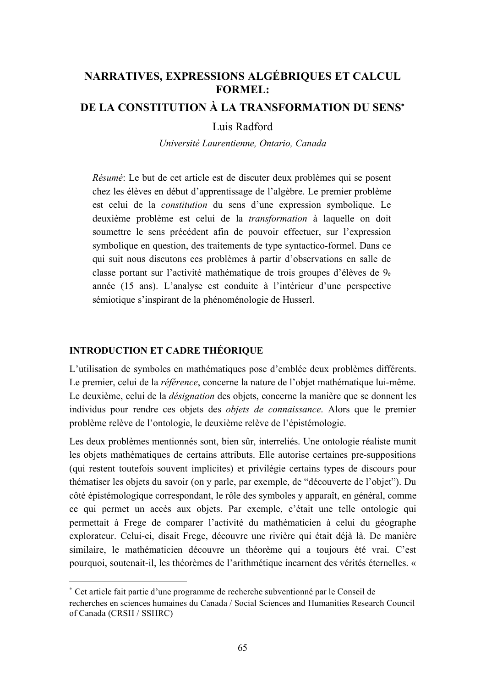# **NARRATIVES, EXPRESSIONS ALGÉBRIQUES ET CALCUL FORMEL:**

# DE LA CONSTITUTION À LA TRANSFORMATION DU SENS\*

## Luis Radford

Université Laurentienne, Ontario, Canada

Résumé: Le but de cet article est de discuter deux problèmes qui se posent chez les élèves en début d'apprentissage de l'algèbre. Le premier problème est celui de la constitution du sens d'une expression symbolique. Le deuxième problème est celui de la *transformation* à laquelle on doit soumettre le sens précédent afin de pouvoir effectuer, sur l'expression symbolique en question, des traitements de type syntactico-formel. Dans ce qui suit nous discutons ces problèmes à partir d'observations en salle de classe portant sur l'activité mathématique de trois groupes d'élèves de 9e année (15 ans). L'analyse est conduite à l'intérieur d'une perspective sémiotique s'inspirant de la phénoménologie de Husserl.

## **INTRODUCTION ET CADRE THÉORIQUE**

L'utilisation de symboles en mathématiques pose d'emblée deux problèmes différents. Le premier, celui de la *référence*, concerne la nature de l'obiet mathématique lui-même. Le deuxième, celui de la *désignation* des objets, concerne la manière que se donnent les individus pour rendre ces objets des *objets de connaissance*. Alors que le premier problème relève de l'ontologie, le deuxième relève de l'épistémologie.

Les deux problèmes mentionnés sont, bien sûr, interreliés. Une ontologie réaliste munit les objets mathématiques de certains attributs. Elle autorise certaines pre-suppositions (qui restent toutefois souvent implicites) et privilégie certains types de discours pour thématiser les objets du savoir (on y parle, par exemple, de "découverte de l'objet"). Du côté épistémologique correspondant, le rôle des symboles y apparaît, en général, comme ce qui permet un accès aux objets. Par exemple, c'était une telle ontologie qui permettait à Frege de comparer l'activité du mathématicien à celui du géographe explorateur. Celui-ci, disait Frege, découvre une rivière qui était déjà là. De manière similaire, le mathématicien découvre un théorème qui a toujours été vrai. C'est pourquoi, soutenait-il, les théorèmes de l'arithmétique incarnent des vérités éternelles. «

<sup>\*</sup> Cet article fait partie d'une programme de recherche subventionné par le Conseil de

recherches en sciences humaines du Canada / Social Sciences and Humanities Research Council of Canada (CRSH / SSHRC)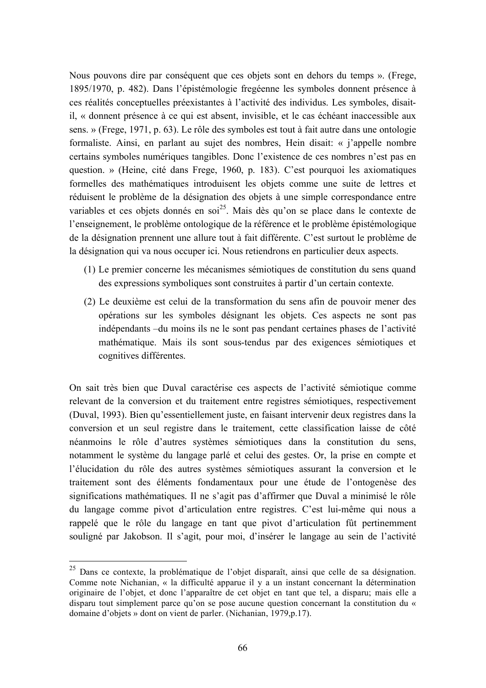Nous pouvons dire par conséquent que ces objets sont en dehors du temps ». (Frege, 1895/1970, p. 482). Dans l'épistémologie fregéenne les symboles donnent présence à ces réalités conceptuelles préexistantes à l'activité des individus. Les symboles, disaitil, « donnent présence à ce qui est absent, invisible, et le cas échéant inaccessible aux sens. » (Frege, 1971, p. 63). Le rôle des symboles est tout à fait autre dans une ontologie formaliste. Ainsi, en parlant au sujet des nombres, Hein disait: « j'appelle nombre certains symboles numériques tangibles. Donc l'existence de ces nombres n'est pas en question. » (Heine, cité dans Frege, 1960, p. 183). C'est pourquoi les axiomatiques formelles des mathématiques introduisent les objets comme une suite de lettres et réduisent le problème de la désignation des objets à une simple correspondance entre variables et ces objets donnés en soi<sup>25</sup>. Mais dès qu'on se place dans le contexte de l'enseignement, le problème ontologique de la référence et le problème épistémologique de la désignation prennent une allure tout à fait différente. C'est surtout le problème de la désignation qui va nous occuper ici. Nous retiendrons en particulier deux aspects.

- (1) Le premier concerne les mécanismes sémiotiques de constitution du sens quand des expressions symboliques sont construites à partir d'un certain contexte.
- (2) Le deuxième est celui de la transformation du sens afin de pouvoir mener des opérations sur les symboles désignant les objets. Ces aspects ne sont pas indépendants – du moins ils ne le sont pas pendant certaines phases de l'activité mathématique. Mais ils sont sous-tendus par des exigences sémiotiques et cognitives différentes.

On sait très bien que Duval caractérise ces aspects de l'activité sémiotique comme relevant de la conversion et du traitement entre registres sémiotiques, respectivement (Duval, 1993). Bien qu'essentiellement juste, en faisant intervenir deux registres dans la conversion et un seul registre dans le traitement, cette classification laisse de côté néanmoins le rôle d'autres systèmes sémiotiques dans la constitution du sens, notamment le système du langage parlé et celui des gestes. Or, la prise en compte et l'élucidation du rôle des autres systèmes sémiotiques assurant la conversion et le traitement sont des éléments fondamentaux pour une étude de l'ontogenèse des significations mathématiques. Il ne s'agit pas d'affirmer que Duval a minimisé le rôle du langage comme pivot d'articulation entre registres. C'est lui-même qui nous a rappelé que le rôle du langage en tant que pivot d'articulation fût pertinemment souligné par Jakobson. Il s'agit, pour moi, d'insérer le langage au sein de l'activité

<sup>&</sup>lt;sup>25</sup> Dans ce contexte, la problématique de l'objet disparaît, ainsi que celle de sa désignation. Comme note Nichanian, « la difficulté apparue il y a un instant concernant la détermination originaire de l'objet, et donc l'apparaître de cet objet en tant que tel, a disparu; mais elle a disparu tout simplement parce qu'on se pose aucune question concernant la constitution du « domaine d'objets » dont on vient de parler. (Nichanian, 1979, p.17).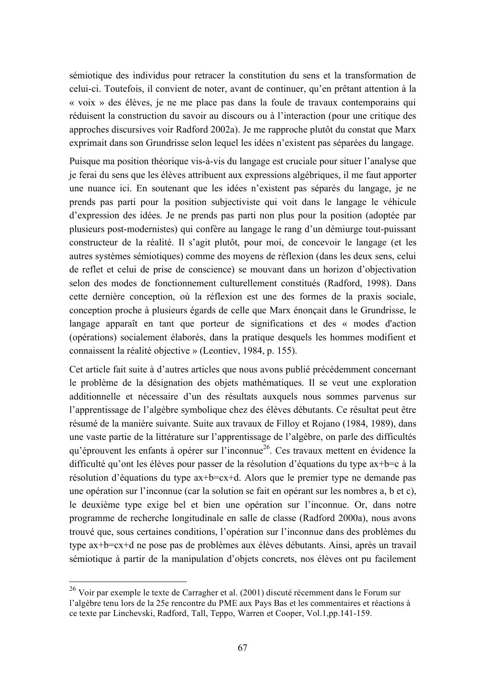sémiotique des individus pour retracer la constitution du sens et la transformation de celui-ci. Toutefois, il convient de noter, avant de continuer, qu'en prêtant attention à la « voix » des élèves, je ne me place pas dans la foule de travaux contemporains qui réduisent la construction du savoir au discours ou à l'interaction (pour une critique des approches discursives voir Radford 2002a). Je me rapproche plutôt du constat que Marx exprimait dans son Grundrisse selon lequel les idées n'existent pas séparées du langage.

Puisque ma position théorique vis-à-vis du langage est cruciale pour situer l'analyse que je ferai du sens que les élèves attribuent aux expressions algébriques, il me faut apporter une nuance ici. En soutenant que les idées n'existent pas séparés du langage, je ne prends pas parti pour la position subjectiviste qui voit dans le langage le véhicule d'expression des idées. Je ne prends pas parti non plus pour la position (adoptée par plusieurs post-modernistes) qui confère au langage le rang d'un démiurge tout-puissant constructeur de la réalité. Il s'agit plutôt, pour moi, de concevoir le langage (et les autres systèmes sémiotiques) comme des movens de réflexion (dans les deux sens, celui de reflet et celui de prise de conscience) se mouvant dans un horizon d'objectivation selon des modes de fonctionnement culturellement constitués (Radford, 1998). Dans cette dernière conception, où la réflexion est une des formes de la praxis sociale, conception proche à plusieurs égards de celle que Marx énonçait dans le Grundrisse, le langage apparaît en tant que porteur de significations et des « modes d'action (opérations) socialement élaborés, dans la pratique desquels les hommes modifient et connaissent la réalité objective » (Leontiev, 1984, p. 155).

Cet article fait suite à d'autres articles que nous avons publié précédemment concernant le problème de la désignation des objets mathématiques. Il se veut une exploration additionnelle et nécessaire d'un des résultats auxquels nous sommes parvenus sur l'apprentissage de l'algèbre symbolique chez des élèves débutants. Ce résultat peut être résumé de la manière suivante. Suite aux travaux de Filloy et Rojano (1984, 1989), dans une vaste partie de la littérature sur l'apprentissage de l'algèbre, on parle des difficultés qu'éprouvent les enfants à opérer sur l'inconnue<sup>26</sup>. Ces travaux mettent en évidence la difficulté qu'ont les élèves pour passer de la résolution d'équations du type ax+b=c à la résolution d'équations du type ax+b=cx+d. Alors que le premier type ne demande pas une opération sur l'inconnue (car la solution se fait en opérant sur les nombres a, b et c), le deuxième type exige bel et bien une opération sur l'inconnue. Or, dans notre programme de recherche longitudinale en salle de classe (Radford 2000a), nous avons trouvé que, sous certaines conditions, l'opération sur l'inconnue dans des problèmes du type ax+b=cx+d ne pose pas de problèmes aux élèves débutants. Ainsi, après un travail sémiotique à partir de la manipulation d'objets concrets, nos élèves ont pu facilement

<sup>&</sup>lt;sup>26</sup> Voir par exemple le texte de Carragher et al. (2001) discuté récemment dans le Forum sur l'algèbre tenu lors de la 25e rencontre du PME aux Pays Bas et les commentaires et réactions à ce texte par Linchevski, Radford, Tall, Teppo, Warren et Cooper, Vol.1,pp.141-159.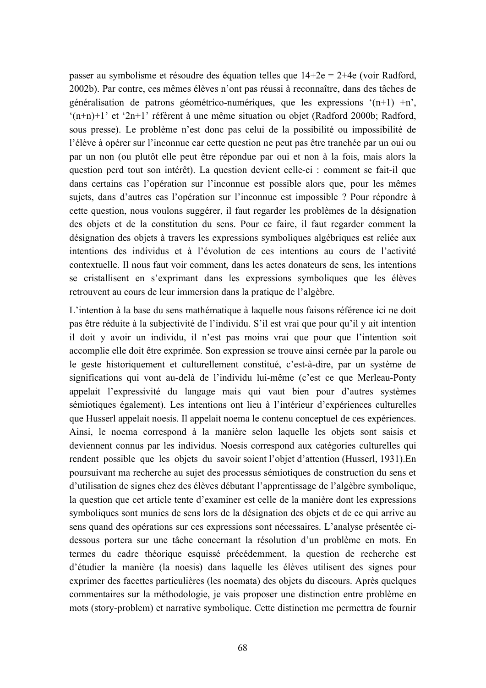passer au symbolisme et résoudre des équation telles que  $14+2e = 2+4e$  (voir Radford, 2002b). Par contre, ces mêmes élèves n'ont pas réussi à reconnaître, dans des tâches de généralisation de patrons géométrico-numériques, que les expressions ' $(n+1)$  +n',  $(n+n)+1$ ' et '2n+1' réfèrent à une même situation ou objet (Radford 2000b; Radford, sous presse). Le problème n'est donc pas celui de la possibilité ou impossibilité de l'élève à opérer sur l'inconnue car cette question ne peut pas être tranchée par un oui ou par un non (ou plutôt elle peut être répondue par oui et non à la fois, mais alors la question perd tout son intérêt). La question devient celle-ci : comment se fait-il que dans certains cas l'opération sur l'inconnue est possible alors que, pour les mêmes sujets, dans d'autres cas l'opération sur l'inconnue est impossible ? Pour répondre à cette question, nous voulons suggérer, il faut regarder les problèmes de la désignation des objets et de la constitution du sens. Pour ce faire, il faut regarder comment la désignation des objets à travers les expressions symboliques algébriques est reliée aux intentions des individus et à l'évolution de ces intentions au cours de l'activité contextuelle. Il nous faut voir comment, dans les actes donateurs de sens, les intentions se cristallisent en s'exprimant dans les expressions symboliques que les élèves retrouvent au cours de leur immersion dans la pratique de l'algèbre.

L'intention à la base du sens mathématique à laquelle nous faisons référence ici ne doit pas être réduite à la subjectivité de l'individu. S'il est vrai que pour qu'il y ait intention il doit y avoir un individu, il n'est pas moins vrai que pour que l'intention soit accomplie elle doit être exprimée. Son expression se trouve ainsi cernée par la parole ou le geste historiquement et culturellement constitué, c'est-à-dire, par un système de significations qui vont au-delà de l'individu lui-même (c'est ce que Merleau-Ponty appelait l'expressivité du langage mais qui vaut bien pour d'autres systèmes sémiotiques également). Les intentions ont lieu à l'intérieur d'expériences culturelles que Husserl appelait noesis. Il appelait noema le contenu conceptuel de ces expériences. Ainsi, le noema correspond à la manière selon laquelle les objets sont saisis et deviennent connus par les individus. Noesis correspond aux catégories culturelles qui rendent possible que les objets du savoir soient l'objet d'attention (Husserl, 1931). En poursuivant ma recherche au sujet des processus sémiotiques de construction du sens et d'utilisation de signes chez des élèves débutant l'apprentissage de l'algèbre symbolique, la question que cet article tente d'examiner est celle de la manière dont les expressions symboliques sont munies de sens lors de la désignation des objets et de ce qui arrive au sens quand des opérations sur ces expressions sont nécessaires. L'analyse présentée cidessous portera sur une tâche concernant la résolution d'un problème en mots. En termes du cadre théorique esquissé précédemment, la question de recherche est d'étudier la manière (la noesis) dans laquelle les élèves utilisent des signes pour exprimer des facettes particulières (les noemata) des objets du discours. Après quelques commentaires sur la méthodologie, je vais proposer une distinction entre problème en mots (story-problem) et narrative symbolique. Cette distinction me permettra de fournir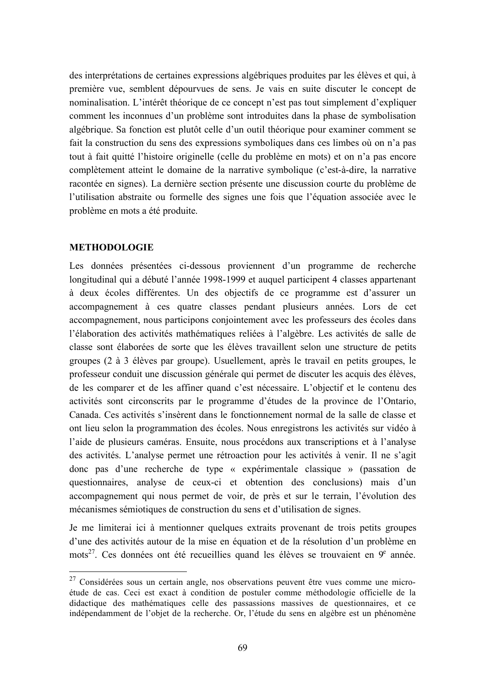des interprétations de certaines expressions algébriques produites par les élèves et qui, à première vue, semblent dépourvues de sens. Je vais en suite discuter le concept de nominalisation. L'intérêt théorique de ce concept n'est pas tout simplement d'expliquer comment les inconnues d'un problème sont introduites dans la phase de symbolisation algébrique. Sa fonction est plutôt celle d'un outil théorique pour examiner comment se fait la construction du sens des expressions symboliques dans ces limbes où on n'a pas tout à fait quitté l'histoire originelle (celle du problème en mots) et on n'a pas encore complètement atteint le domaine de la narrative symbolique (c'est-à-dire, la narrative racontée en signes). La dernière section présente une discussion courte du problème de l'utilisation abstraite ou formelle des signes une fois que l'équation associée avec le problème en mots a été produite.

## **METHODOLOGIE**

Les données présentées ci-dessous proviennent d'un programme de recherche longitudinal qui a débuté l'année 1998-1999 et auquel participent 4 classes appartenant à deux écoles différentes. Un des objectifs de ce programme est d'assurer un accompagnement à ces quatre classes pendant plusieurs années. Lors de cet accompagnement, nous participons conjointement avec les professeurs des écoles dans l'élaboration des activités mathématiques reliées à l'algèbre. Les activités de salle de classe sont élaborées de sorte que les élèves travaillent selon une structure de petits groupes (2 à 3 élèves par groupe). Usuellement, après le travail en petits groupes, le professeur conduit une discussion générale qui permet de discuter les acquis des élèves. de les comparer et de les affiner quand c'est nécessaire. L'objectif et le contenu des activités sont circonscrits par le programme d'études de la province de l'Ontario, Canada. Ces activités s'insèrent dans le fonctionnement normal de la salle de classe et ont lieu selon la programmation des écoles. Nous enregistrons les activités sur vidéo à l'aide de plusieurs caméras. Ensuite, nous procédons aux transcriptions et à l'analyse des activités. L'analyse permet une rétroaction pour les activités à venir. Il ne s'agit donc pas d'une recherche de type « expérimentale classique » (passation de questionnaires, analyse de ceux-ci et obtention des conclusions) mais d'un accompagnement qui nous permet de voir, de près et sur le terrain, l'évolution des mécanismes sémiotiques de construction du sens et d'utilisation de signes.

Je me limiterai ici à mentionner quelques extraits provenant de trois petits groupes d'une des activités autour de la mise en équation et de la résolution d'un problème en mots<sup>27</sup>. Ces données ont été recueillies quand les élèves se trouvaient en 9<sup>e</sup> année.

 $27$  Considérées sous un certain angle, nos observations peuvent être vues comme une microétude de cas. Ceci est exact à condition de postuler comme méthodologie officielle de la didactique des mathématiques celle des passassions massives de questionnaires, et ce indépendamment de l'objet de la recherche. Or, l'étude du sens en algèbre est un phénomène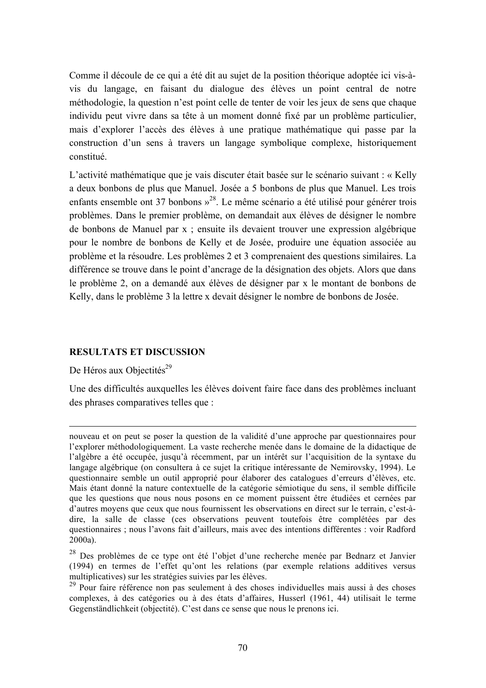Comme il découle de ce qui a été dit au sujet de la position théorique adoptée ici vis-àvis du langage, en faisant du dialogue des élèves un point central de notre méthodologie, la question n'est point celle de tenter de voir les jeux de sens que chaque individu peut vivre dans sa tête à un moment donné fixé par un problème particulier, mais d'explorer l'accès des élèves à une pratique mathématique qui passe par la construction d'un sens à travers un langage symbolique complexe, historiquement constitué.

L'activité mathématique que je vais discuter était basée sur le scénario suivant : « Kelly a deux bonbons de plus que Manuel. Josée a 5 bonbons de plus que Manuel. Les trois enfants ensemble ont 37 bonbons  $v^{28}$ . Le même scénario a été utilisé pour générer trois problèmes. Dans le premier problème, on demandait aux élèves de désigner le nombre de bonbons de Manuel par x ; ensuite ils devaient trouver une expression algébrique pour le nombre de bonbons de Kelly et de Josée, produire une équation associée au problème et la résoudre. Les problèmes 2 et 3 comprenaient des questions similaires. La différence se trouve dans le point d'ancrage de la désignation des objets. Alors que dans le problème 2, on a demandé aux élèves de désigner par x le montant de bonbons de Kelly, dans le problème 3 la lettre x devait désigner le nombre de bonbons de Josée.

## **RESULTATS ET DISCUSSION**

De Héros aux Objectités<sup>29</sup>

Une des difficultés auxquelles les élèves doivent faire face dans des problèmes incluant des phrases comparatives telles que :

nouveau et on peut se poser la question de la validité d'une approche par questionnaires pour l'explorer méthodologiquement. La vaste recherche menée dans le domaine de la didactique de l'algèbre a été occupée, jusqu'à récemment, par un intérêt sur l'acquisition de la syntaxe du langage algébrique (on consultera à ce sujet la critique intéressante de Nemirovsky, 1994). Le questionnaire semble un outil approprié pour élaborer des catalogues d'erreurs d'élèves, etc. Mais étant donné la nature contextuelle de la catégorie sémiotique du sens, il semble difficile que les questions que nous nous posons en ce moment puissent être étudiées et cernées par d'autres moyens que ceux que nous fournissent les observations en direct sur le terrain, c'est-àdire, la salle de classe (ces observations peuvent toutefois être complétées par des questionnaires ; nous l'avons fait d'ailleurs, mais avec des intentions différentes : voir Radford  $2000a$ ).

<sup>&</sup>lt;sup>28</sup> Des problèmes de ce type ont été l'objet d'une recherche menée par Bednarz et Janvier (1994) en termes de l'effet qu'ont les relations (par exemple relations additives versus multiplicatives) sur les stratégies suivies par les élèves.

<sup>&</sup>lt;sup>29</sup> Pour faire référence non pas seulement à des choses individuelles mais aussi à des choses complexes, à des catégories ou à des états d'affaires, Husserl (1961, 44) utilisait le terme Gegenständlichkeit (objectité). C'est dans ce sense que nous le prenons ici.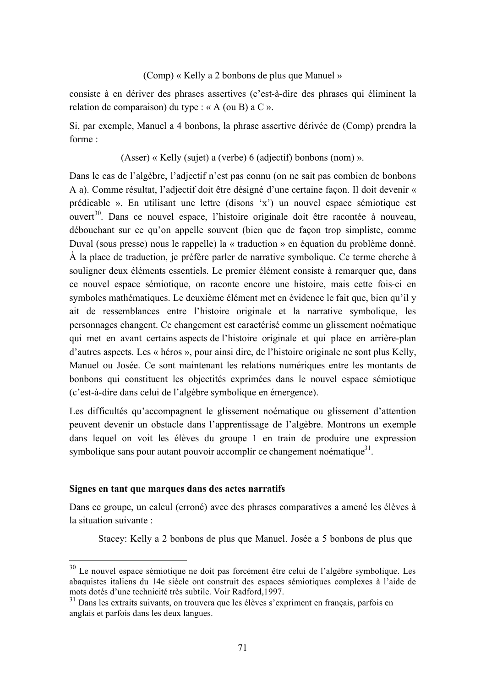#### (Comp) « Kelly a 2 bonbons de plus que Manuel »

consiste à en dériver des phrases assertives (c'est-à-dire des phrases qui éliminent la relation de comparaison) du type : « A (ou B) a C ».

Si, par exemple, Manuel a 4 bonbons, la phrase assertive dérivée de *(Comp)* prendra la forme ·

(Asser) « Kelly (sujet) a (verbe) 6 (adjectif) bonbons (nom) ».

Dans le cas de l'algèbre, l'adjectif n'est pas connu (on ne sait pas combien de bonbons A a). Comme résultat, l'adjectif doit être désigné d'une certaine façon. Il doit devenir « prédicable ». En utilisant une lettre (disons 'x') un nouvel espace sémiotique est ouvert<sup>30</sup>. Dans ce nouvel espace, l'histoire originale doit être racontée à nouveau, débouchant sur ce qu'on appelle souvent (bien que de façon trop simpliste, comme Duval (sous presse) nous le rappelle) la « traduction » en équation du problème donné. À la place de traduction, je préfère parler de narrative symbolique. Ce terme cherche à souligner deux éléments essentiels. Le premier élément consiste à remarquer que, dans ce nouvel espace sémiotique, on raconte encore une histoire, mais cette fois-ci en symboles mathématiques. Le deuxième élément met en évidence le fait que, bien qu'il y ait de ressemblances entre l'histoire originale et la narrative symbolique, les personnages changent. Ce changement est caractérisé comme un glissement noématique qui met en avant certains aspects de l'histoire originale et qui place en arrière-plan d'autres aspects. Les « héros », pour ainsi dire, de l'histoire originale ne sont plus Kelly, Manuel ou Josée. Ce sont maintenant les relations numériques entre les montants de bonbons qui constituent les objectités exprimées dans le nouvel espace sémiotique (c'est-à-dire dans celui de l'algèbre symbolique en émergence).

Les difficultés qu'accompagnent le glissement noématique ou glissement d'attention peuvent devenir un obstacle dans l'apprentissage de l'algèbre. Montrons un exemple dans lequel on voit les élèves du groupe 1 en train de produire une expression symbolique sans pour autant pouvoir accomplir ce changement noématique<sup>31</sup>.

### Signes en tant que marques dans des actes narratifs

Dans ce groupe, un calcul (erroné) avec des phrases comparatives a amené les élèves à la situation suivante :

Stacey: Kelly a 2 bonbons de plus que Manuel. Josée a 5 bonbons de plus que

<sup>&</sup>lt;sup>30</sup> Le nouvel espace sémiotique ne doit pas forcément être celui de l'algèbre symbolique. Les abaquistes italiens du 14e siècle ont construit des espaces sémiotiques complexes à l'aide de mots dotés d'une technicité très subtile. Voir Radford, 1997.

 $31$  Dans les extraits suivants, on trouvera que les élèves s'expriment en français, parfois en anglais et parfois dans les deux langues.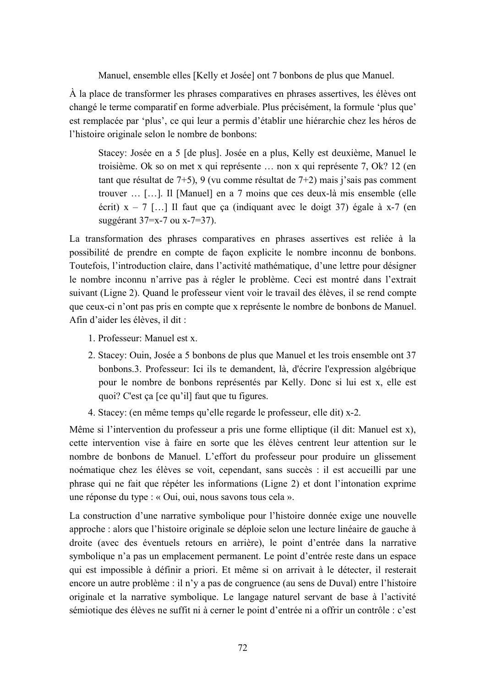Manuel, ensemble elles [Kelly et Josée] ont 7 bonbons de plus que Manuel.

À la place de transformer les phrases comparatives en phrases assertives, les élèves ont changé le terme comparatif en forme adverbiale. Plus précisément, la formule 'plus que' est remplacée par 'plus', ce qui leur a permis d'établir une hiérarchie chez les héros de l'histoire originale selon le nombre de bonbons:

Stacey: Josée en a 5 [de plus]. Josée en a plus, Kelly est deuxième, Manuel le troisième. Ok so on met x qui représente ... non x qui représente 7, Ok? 12 (en tant que résultat de 7+5), 9 (vu comme résultat de 7+2) mais j'sais pas comment trouver ... [...]. Il [Manuel] en a 7 moins que ces deux-là mis ensemble (elle écrit)  $x - 7$  [...] Il faut que ça (indiquant avec le doigt 37) égale à x-7 (en suggérant 37=x-7 ou x-7=37).

La transformation des phrases comparatives en phrases assertives est reliée à la possibilité de prendre en compte de façon explicite le nombre inconnu de bonbons. Toutefois, l'introduction claire, dans l'activité mathématique, d'une lettre pour désigner le nombre inconnu n'arrive pas à régler le problème. Ceci est montré dans l'extrait suivant (Ligne 2). Quand le professeur vient voir le travail des élèves, il se rend compte que ceux-ci n'ont pas pris en compte que x représente le nombre de bonbons de Manuel. Afin d'aider les élèves, il dit :

- 1. Professeur: Manuel est x.
- 2. Stacey: Ouin, Josée a 5 bonbons de plus que Manuel et les trois ensemble ont 37 bonbons.3. Professeur: Ici ils te demandent, là, d'écrire l'expression algébrique pour le nombre de bonbons représentés par Kelly. Donc si lui est x, elle est quoi? C'est ça [ce qu'il] faut que tu figures.
- 4. Stacey: (en même temps qu'elle regarde le professeur, elle dit) x-2.

Même si l'intervention du professeur a pris une forme elliptique (il dit: Manuel est x), cette intervention vise à faire en sorte que les élèves centrent leur attention sur le nombre de bonbons de Manuel. L'effort du professeur pour produire un glissement noématique chez les élèves se voit, cependant, sans succès : il est accueilli par une phrase qui ne fait que répéter les informations (Ligne 2) et dont l'intonation exprime une réponse du type : « Oui, oui, nous savons tous cela ».

La construction d'une narrative symbolique pour l'histoire donnée exige une nouvelle approche : alors que l'histoire originale se déploie selon une lecture linéaire de gauche à droite (avec des éventuels retours en arrière), le point d'entrée dans la narrative symbolique n'a pas un emplacement permanent. Le point d'entrée reste dans un espace qui est impossible à définir a priori. Et même si on arrivait à le détecter, il resterait encore un autre problème : il n'y a pas de congruence (au sens de Duval) entre l'histoire originale et la narrative symbolique. Le langage naturel servant de base à l'activité sémiotique des élèves ne suffit ni à cerner le point d'entrée ni a offrir un contrôle : c'est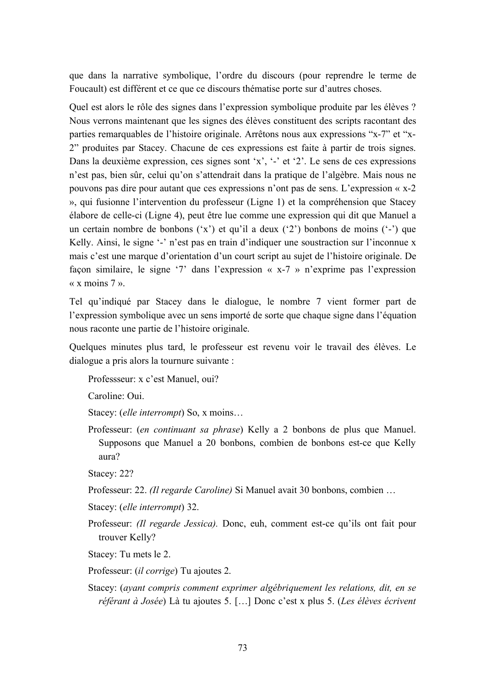que dans la narrative symbolique, l'ordre du discours (pour reprendre le terme de Foucault) est différent et ce que ce discours thématise porte sur d'autres choses.

Ouel est alors le rôle des signes dans l'expression symbolique produite par les élèves ? Nous verrons maintenant que les signes des élèves constituent des scripts racontant des parties remarquables de l'histoire originale. Arrêtons nous aux expressions "x-7" et "x-2" produites par Stacey. Chacune de ces expressions est faite à partir de trois signes. Dans la deuxième expression, ces signes sont 'x', '-' et '2'. Le sens de ces expressions n'est pas, bien sûr, celui qu'on s'attendrait dans la pratique de l'algèbre. Mais nous ne pouvons pas dire pour autant que ces expressions n'ont pas de sens. L'expression « x-2 », qui fusionne l'intervention du professeur (Ligne 1) et la compréhension que Stacey élabore de celle-ci (Ligne 4), peut être lue comme une expression qui dit que Manuel a un certain nombre de bonbons  $(x')$  et qu'il a deux  $(2')$  bonbons de moins  $(-)$  que Kelly. Ainsi, le signe '-' n'est pas en train d'indiquer une soustraction sur l'inconnue x mais c'est une marque d'orientation d'un court script au suiet de l'histoire originale. De façon similaire, le signe '7' dans l'expression « x-7 » n'exprime pas l'expression  $\alpha$  x moins 7  $\alpha$ 

Tel qu'indiqué par Stacey dans le dialogue, le nombre 7 vient former part de l'expression symbolique avec un sens importé de sorte que chaque signe dans l'équation nous raconte une partie de l'histoire originale.

Quelques minutes plus tard, le professeur est revenu voir le travail des élèves. Le dialogue a pris alors la tournure suivante :

Professseur: x c'est Manuel, oui?

Caroline: Oui.

Stacey: (elle interrompt) So, x moins...

Professeur: *(en continuant sa phrase)* Kelly a 2 bonbons de plus que Manuel. Supposons que Manuel a 20 bonbons, combien de bonbons est-ce que Kelly aura?

Stacey: 22?

Professeur: 22. (Il regarde Caroline) Si Manuel avait 30 bonbons, combien ...

Stacey: (elle interrompt) 32.

- Professeur: *(Il regarde Jessica)*. Donc, euh, comment est-ce qu'ils ont fait pour trouver Kelly?
- Stacey: Tu mets le 2.

Professeur: *(il corrige)* Tu ajoutes 2.

Stacey: (ayant compris comment exprimer algébriquement les relations, dit, en se référant à Josée) Là tu ajoutes 5. [...] Donc c'est x plus 5. (Les élèves écrivent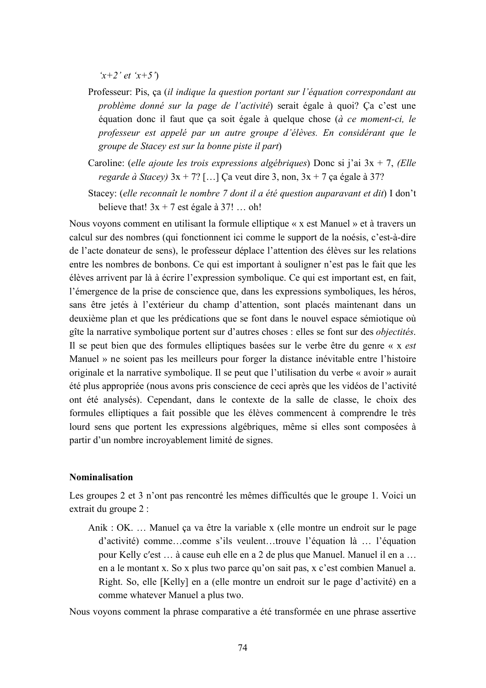$(x+2'et (x+5))$ 

- Professeur: Pis, ça (il indique la question portant sur l'équation correspondant au problème donné sur la page de l'activité) serait égale à quoi? Ca c'est une équation donc il faut que ça soit égale à quelque chose (à ce moment-ci, le professeur est appelé par un autre groupe d'élèves. En considérant que le groupe de Stacey est sur la bonne piste il part)
- Caroline: (elle ajoute les trois expressions algébriques) Donc si j'ai  $3x + 7$ , (Elle regarde à Stacey)  $3x + 7$ ? [...] Ça veut dire 3, non,  $3x + 7$  ça égale à 37?
- Stacey: (elle reconnaît le nombre 7 dont il a été question auparavant et dit) I don't believe that!  $3x + 7$  est égale à 37! ... oh!

Nous voyons comment en utilisant la formule elliptique « x est Manuel » et à travers un calcul sur des nombres (qui fonctionnent ici comme le support de la noésis, c'est-à-dire de l'acte donateur de sens), le professeur déplace l'attention des élèves sur les relations entre les nombres de bonbons. Ce qui est important à souligner n'est pas le fait que les élèves arrivent par là à écrire l'expression symbolique. Ce qui est important est, en fait, l'émergence de la prise de conscience que, dans les expressions symboliques, les héros, sans être jetés à l'extérieur du champ d'attention, sont placés maintenant dans un deuxième plan et que les prédications que se font dans le nouvel espace sémiotique où gîte la narrative symbolique portent sur d'autres choses : elles se font sur des *objectités*. Il se peut bien que des formules elliptiques basées sur le verbe être du genre « x est Manuel » ne soient pas les meilleurs pour forger la distance inévitable entre l'histoire originale et la narrative symbolique. Il se peut que l'utilisation du verbe « avoir » aurait été plus appropriée (nous avons pris conscience de ceci après que les vidéos de l'activité ont été analysés). Cependant, dans le contexte de la salle de classe, le choix des formules elliptiques a fait possible que les élèves commencent à comprendre le très lourd sens que portent les expressions algébriques, même si elles sont composées à partir d'un nombre incroyablement limité de signes.

#### **Nominalisation**

Les groupes 2 et 3 n'ont pas rencontré les mêmes difficultés que le groupe 1. Voici un extrait du groupe 2 :

Anik : OK... Manuel ça va être la variable x (elle montre un endroit sur le page d'activité) comme...comme s'ils veulent...trouve l'équation là ... l'équation pour Kelly c'est ... à cause euh elle en a 2 de plus que Manuel. Manuel il en a ... en a le montant x. So x plus two parce qu'on sait pas, x c'est combien Manuel a. Right. So, elle [Kelly] en a (elle montre un endroit sur le page d'activité) en a comme whatever Manuel a plus two.

Nous voyons comment la phrase comparative a été transformée en une phrase assertive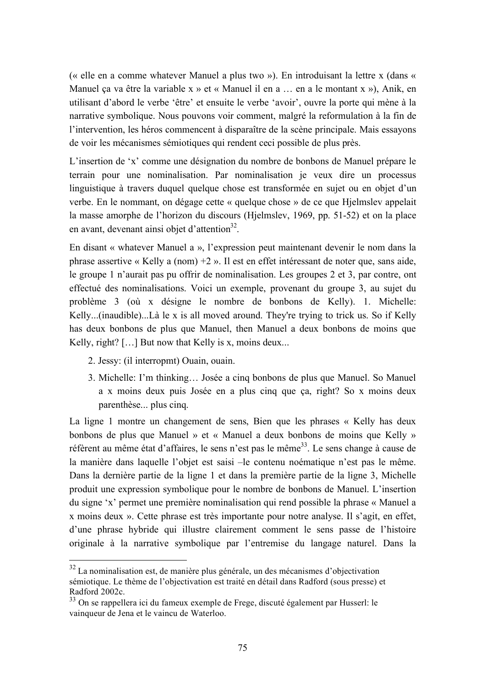(« elle en a comme whatever Manuel a plus two »). En introduisant la lettre x (dans « Manuel ca va être la variable x » et « Manuel il en a ... en a le montant x »), Anik, en utilisant d'abord le verbe 'être' et ensuite le verbe 'avoir', ouvre la porte qui mène à la narrative symbolique. Nous pouvons voir comment, malgré la reformulation à la fin de l'intervention, les héros commencent à disparaître de la scène principale. Mais essayons de voir les mécanismes sémiotiques qui rendent ceci possible de plus près.

L'insertion de 'x' comme une désignation du nombre de bonbons de Manuel prépare le terrain pour une nominalisation. Par nominalisation je veux dire un processus linguistique à travers duquel quelque chose est transformée en sujet ou en objet d'un verbe. En le nommant, on dégage cette « quelque chose » de ce que Hielmslev appelait la masse amorphe de l'horizon du discours (Hielmslev, 1969, pp. 51-52) et on la place en avant, devenant ainsi objet d'attention<sup>32</sup>.

En disant « whatever Manuel a », l'expression peut maintenant devenir le nom dans la phrase assertive « Kelly a (nom)  $+2$  ». Il est en effet intéressant de noter que, sans aide, le groupe 1 n'aurait pas pu offrir de nominalisation. Les groupes 2 et 3, par contre, ont effectué des nominalisations. Voici un exemple, provenant du groupe 3, au sujet du problème 3 (où x désigne le nombre de bonbons de Kelly). 1. Michelle: Kelly...(inaudible)...Là le x is all moved around. They're trying to trick us. So if Kelly has deux bonbons de plus que Manuel, then Manuel a deux bonbons de moins que Kelly, right?  $[...]$  But now that Kelly is x, moins deux...

- 2. Jessy: (il interropmt) Ouain, ouain.
- 3. Michelle: I'm thinking... Josée a cinq bonbons de plus que Manuel. So Manuel a x moins deux puis Josée en a plus cinq que ça, right? So x moins deux parenthèse... plus cinq.

La ligne 1 montre un changement de sens. Bien que les phrases « Kelly has deux bonbons de plus que Manuel » et « Manuel a deux bonbons de moins que Kelly » réfèrent au même état d'affaires, le sens n'est pas le même<sup>33</sup>. Le sens change à cause de la manière dans laquelle l'objet est saisi – le contenu noématique n'est pas le même. Dans la dernière partie de la ligne 1 et dans la première partie de la ligne 3, Michelle produit une expression symbolique pour le nombre de bonbons de Manuel. L'insertion du signe 'x' permet une première nominalisation qui rend possible la phrase « Manuel a x moins deux ». Cette phrase est très importante pour notre analyse. Il s'agit, en effet, d'une phrase hybride qui illustre clairement comment le sens passe de l'histoire originale à la narrative symbolique par l'entremise du langage naturel. Dans la

<sup>&</sup>lt;sup>32</sup> La nominalisation est, de manière plus générale, un des mécanismes d'objectivation sémiotique. Le thème de l'objectivation est traité en détail dans Radford (sous presse) et Radford 2002c.

<sup>33</sup> On se rappellera ici du fameux exemple de Frege, discuté également par Husserl: le vainqueur de Jena et le vaincu de Waterloo.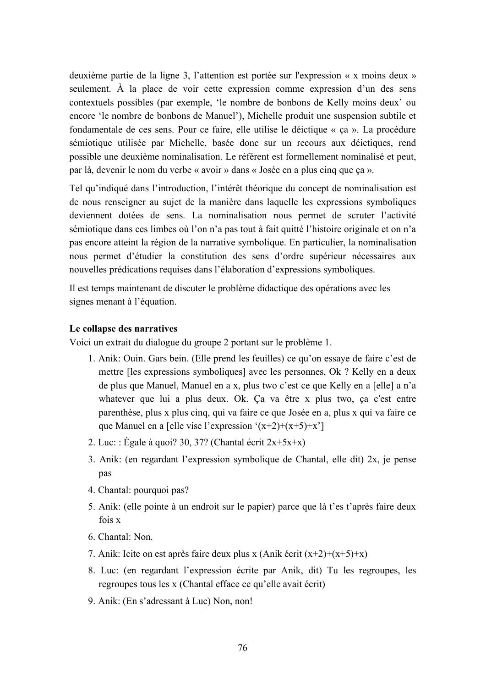deuxième partie de la ligne 3, l'attention est portée sur l'expression « x moins deux » seulement. À la place de voir cette expression comme expression d'un des sens contextuels possibles (par exemple, 'le nombre de bonbons de Kelly moins deux' ou encore 'le nombre de bonbons de Manuel'), Michelle produit une suspension subtile et fondamentale de ces sens. Pour ce faire, elle utilise le déictique « ça ». La procédure sémiotique utilisée par Michelle, basée donc sur un recours aux déloctiques, rend possible une deuxième nominalisation. Le référent est formellement nominalisé et peut, par là, devenir le nom du verbe « avoir » dans « Josée en a plus cinq que ça ».

Tel qu'indiqué dans l'introduction, l'intérêt théorique du concept de nominalisation est de nous renseigner au sujet de la manière dans laquelle les expressions symboliques deviennent dotées de sens. La nominalisation nous permet de scruter l'activité sémiotique dans ces limbes où l'on n'a pas tout à fait quitté l'histoire originale et on n'a pas encore atteint la région de la narrative symbolique. En particulier, la nominalisation nous permet d'étudier la constitution des sens d'ordre supérieur nécessaires aux nouvelles prédications requises dans l'élaboration d'expressions symboliques.

Il est temps maintenant de discuter le problème didactique des opérations avec les signes menant à l'équation.

### Le collapse des narratives

Voici un extrait du dialogue du groupe 2 portant sur le problème 1.

- 1. Anik: Ouin. Gars bein. (Elle prend les feuilles) ce qu'on essaye de faire c'est de mettre les expressions symboliques avec les personnes. Ok ? Kelly en a deux de plus que Manuel, Manuel en a x, plus two c'est ce que Kelly en a [elle] a n'a whatever que lui a plus deux. Ok. Ca va être x plus two, ca c'est entre parenthèse, plus x plus cinq, qui va faire ce que Josée en a, plus x qui va faire ce que Manuel en a [elle vise l'expression '(x+2)+(x+5)+x']
- 2. Luc: : Égale à quoi? 30, 37? (Chantal écrit  $2x+5x+x$ )
- 3. Anik: (en regardant l'expression symbolique de Chantal, elle dit) 2x, je pense pas
- 4. Chantal: pourquoi pas?
- 5. Anik: (elle pointe à un endroit sur le papier) parce que là t'es t'après faire deux fois x
- 6. Chantal: Non.
- 7. Anik: Icite on est après faire deux plus x (Anik écrit  $(x+2)+(x+5)+x$ )
- 8. Luc: (en regardant l'expression écrite par Anik, dit) Tu les regroupes, les regroupes tous les x (Chantal efface ce qu'elle avait écrit)
- 9. Anik: (En s'adressant à Luc) Non, non!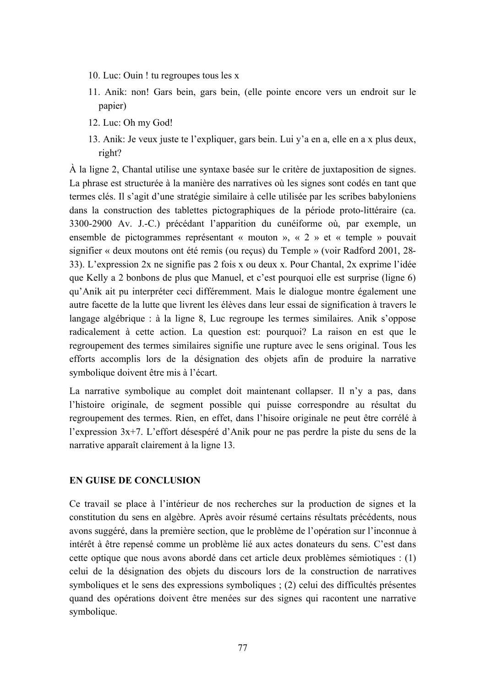- 10. Luc: Ouin ! tu regroupes tous les x
- 11. Anik: non! Gars bein, gars bein, (elle pointe encore vers un endroit sur le papier)
- 12. Luc: Oh my God!
- 13. Anik: Je veux juste te l'expliquer, gars bein. Lui v'a en a, elle en a x plus deux. right?

À la ligne 2. Chantal utilise une syntaxe basée sur le critère de juxtaposition de signes. La phrase est structurée à la manière des narratives où les signes sont codés en tant que termes clés. Il s'agit d'une stratégie similaire à celle utilisée par les scribes babyloniens dans la construction des tablettes pictographiques de la période proto-littéraire (ca. 3300-2900 Av. J.-C.) précédant l'apparition du cunéiforme où, par exemple, un ensemble de pictogrammes représentant « mouton », «  $2 \times$  et « temple » pouvait signifier « deux moutons ont été remis (ou reçus) du Temple » (voir Radford 2001, 28-33). L'expression 2x ne signifie pas 2 fois x ou deux x. Pour Chantal, 2x exprime l'idée que Kelly a 2 bonbons de plus que Manuel, et c'est pourquoi elle est surprise (ligne 6) qu'Anik ait pu interpréter ceci différemment. Mais le dialogue montre également une autre facette de la lutte que livrent les élèves dans leur essai de signification à travers le langage algébrique : à la ligne 8, Luc regroupe les termes similaires. Anik s'oppose radicalement à cette action. La question est: pourquoi? La raison en est que le regroupement des termes similaires signifie une rupture avec le sens original. Tous les efforts accomplis lors de la désignation des objets afin de produire la narrative symbolique doivent être mis à l'écart.

La narrative symbolique au complet doit maintenant collapser. Il n'y a pas, dans l'histoire originale, de segment possible qui puisse correspondre au résultat du regroupement des termes. Rien, en effet, dans l'hisoire originale ne peut être corrélé à l'expression 3x+7. L'effort désespéré d'Anik pour ne pas perdre la piste du sens de la narrative apparaît clairement à la ligne 13.

## **EN GUISE DE CONCLUSION**

Ce travail se place à l'intérieur de nos recherches sur la production de signes et la constitution du sens en algèbre. Après avoir résumé certains résultats précédents, nous avons suggéré, dans la première section, que le problème de l'opération sur l'inconnue à intérêt à être repensé comme un problème lié aux actes donateurs du sens. C'est dans cette optique que nous avons abordé dans cet article deux problèmes sémiotiques : (1) celui de la désignation des objets du discours lors de la construction de narratives symboliques et le sens des expressions symboliques ; (2) celui des difficultés présentes quand des opérations doivent être menées sur des signes qui racontent une narrative symbolique.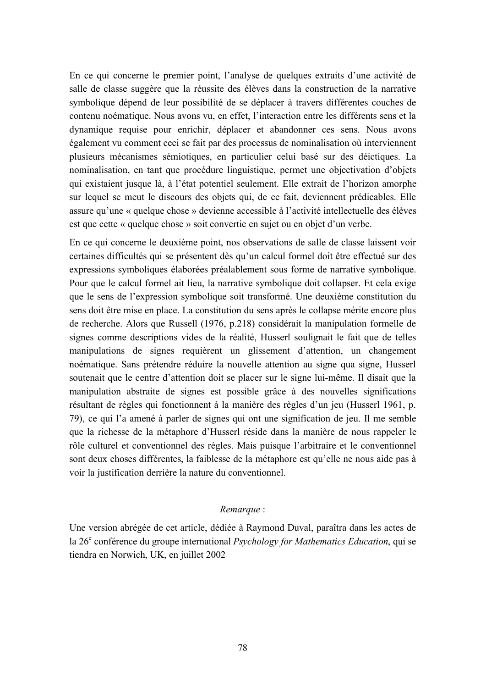En ce qui concerne le premier point, l'analyse de quelques extraits d'une activité de salle de classe suggère que la réussite des élèves dans la construction de la narrative symbolique dépend de leur possibilité de se déplacer à travers différentes couches de contenu noématique. Nous avons vu, en effet, l'interaction entre les différents sens et la dynamique requise pour enrichir, déplacer et abandonner ces sens. Nous avons également vu comment ceci se fait par des processus de nominalisation où interviennent plusieurs mécanismes sémiotiques, en particulier celui basé sur des déictiques. La nominalisation, en tant que procédure linguistique, permet une objectivation d'objets qui existaient jusque là, à l'état potentiel seulement. Elle extrait de l'horizon amorphe sur lequel se meut le discours des objets qui, de ce fait, deviennent prédicables. Elle assure qu'une « quelque chose » devienne accessible à l'activité intellectuelle des élèves est que cette « quelque chose » soit convertie en sujet ou en objet d'un verbe.

En ce qui concerne le deuxième point, nos observations de salle de classe laissent voir certaines difficultés qui se présentent dès qu'un calcul formel doit être effectué sur des expressions symboliques élaborées préalablement sous forme de narrative symbolique. Pour que le calcul formel ait lieu, la narrative symbolique doit collapser. Et cela exige que le sens de l'expression symbolique soit transformé. Une deuxième constitution du sens doit être mise en place. La constitution du sens après le collapse mérite encore plus de recherche. Alors que Russell (1976, p.218) considérait la manipulation formelle de signes comme descriptions vides de la réalité, Husserl soulignait le fait que de telles manipulations de signes requièrent un glissement d'attention, un changement noématique. Sans prétendre réduire la nouvelle attention au signe qua signe, Husserl soutenait que le centre d'attention doit se placer sur le signe lui-même. Il disait que la manipulation abstraite de signes est possible grâce à des nouvelles significations résultant de règles qui fonctionnent à la manière des règles d'un jeu (Husserl 1961, p. 79), ce qui l'a amené à parler de signes qui ont une signification de jeu. Il me semble que la richesse de la métaphore d'Husserl réside dans la manière de nous rappeler le rôle culturel et conventionnel des règles. Mais puisque l'arbitraire et le conventionnel sont deux choses différentes, la faiblesse de la métaphore est qu'elle ne nous aide pas à voir la justification derrière la nature du conventionnel.

### Remarque:

Une version abrégée de cet article, dédiée à Raymond Duval, paraîtra dans les actes de la 26<sup>e</sup> conférence du groupe international *Psychology for Mathematics Education*, qui se tiendra en Norwich, UK, en juillet 2002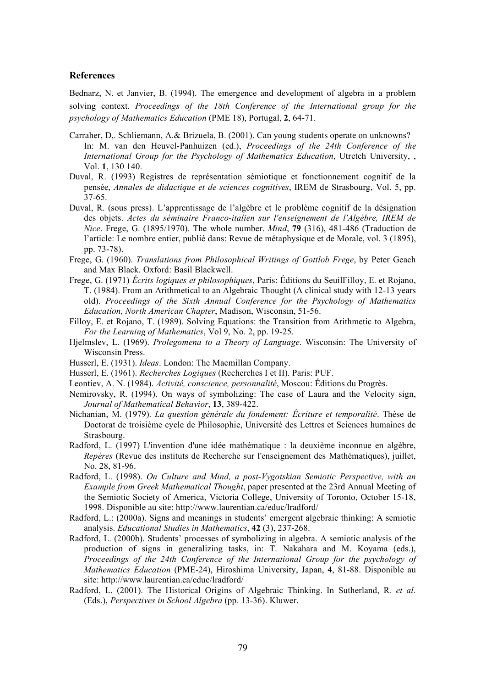#### **References**

Bednarz, N. et Janvier, B. (1994). The emergence and development of algebra in a problem solving context. Proceedings of the 18th Conference of the International group for the *psychology of Mathematics Education* (PME 18), Portugal, 2, 64-71.

- Carraher, D., Schliemann, A.& Brizuela, B. (2001). Can young students operate on unknowns? In: M. van den Heuvel-Panhuizen (ed.), Proceedings of the 24th Conference of the International Group for the Psychology of Mathematics Education, Utretch University, , Vol. 1, 130 140.
- Duval, R. (1993) Registres de représentation sémiotique et fonctionnement cognitif de la pensée, Annales de didactique et de sciences cognitives, IREM de Strasbourg, Vol. 5, pp.  $37-65$ .
- Duval, R. (sous press). L'apprentissage de l'algèbre et le problème cognitif de la désignation des objets. Actes du séminaire Franco-italien sur l'enseignement de l'Algèbre, IREM de *Nice.* Frege, G. (1895/1970). The whole number. *Mind*, 79 (316), 481-486 (Traduction de l'article: Le nombre entier, publié dans: Revue de métaphysique et de Morale, vol. 3 (1895), pp. 73-78).
- Frege, G. (1960). Translations from Philosophical Writings of Gottlob Frege, by Peter Geach and Max Black. Oxford: Basil Blackwell.
- Frege, G. (1971) *Écrits logiques et philosophiques*, Paris: Éditions du SeuilFilloy, E. et Rojano, T. (1984). From an Arithmetical to an Algebraic Thought (A clinical study with 12-13 years old). Proceedings of the Sixth Annual Conference for the Psychology of Mathematics Education, North American Chapter, Madison, Wisconsin, 51-56.
- Filloy, E. et Rojano, T. (1989). Solving Equations: the Transition from Arithmetic to Algebra, For the Learning of Mathematics, Vol 9, No. 2, pp. 19-25.
- Hjelmslev, L. (1969). Prolegomena to a Theory of Language. Wisconsin: The University of Wisconsin Press.
- Husserl, E. (1931). *Ideas*. London: The Macmillan Company.
- Husserl, E. (1961). *Recherches Logiques* (Recherches I et II). Paris: PUF.
- Leontiev, A. N. (1984). Activité, conscience, personnalité, Moscou: Éditions du Progrès.
- Nemirovsky, R. (1994). On ways of symbolizing: The case of Laura and the Velocity sign, Journal of Mathematical Behavior, 13, 389-422.
- Nichanian, M. (1979). La question générale du fondement: Écriture et temporalité. Thèse de Doctorat de troisième cycle de Philosophie, Université des Lettres et Sciences humaines de Strasbourg.
- Radford, L. (1997) L'invention d'une idée mathématique : la deuxième inconnue en algèbre, Repères (Revue des instituts de Recherche sur l'enseignement des Mathématiques), juillet, No. 28, 81-96.
- Radford, L. (1998). On Culture and Mind, a post-Vygotskian Semiotic Perspective, with an Example from Greek Mathematical Thought, paper presented at the 23rd Annual Meeting of the Semiotic Society of America, Victoria College, University of Toronto, October 15-18. 1998. Disponible au site: http://www.laurentian.ca/educ/lradford/
- Radford, L.: (2000a). Signs and meanings in students' emergent algebraic thinking: A semiotic analysis. Educational Studies in Mathematics, 42 (3), 237-268.
- Radford, L. (2000b). Students' processes of symbolizing in algebra. A semiotic analysis of the production of signs in generalizing tasks, in: T. Nakahara and M. Koyama (eds.), Proceedings of the 24th Conference of the International Group for the psychology of Mathematics Education (PME-24), Hiroshima University, Japan, 4, 81-88. Disponible au site: http://www.laurentian.ca/educ/lradford/
- Radford, L. (2001). The Historical Origins of Algebraic Thinking. In Sutherland, R. et al. (Eds.), Perspectives in School Algebra (pp. 13-36). Kluwer.